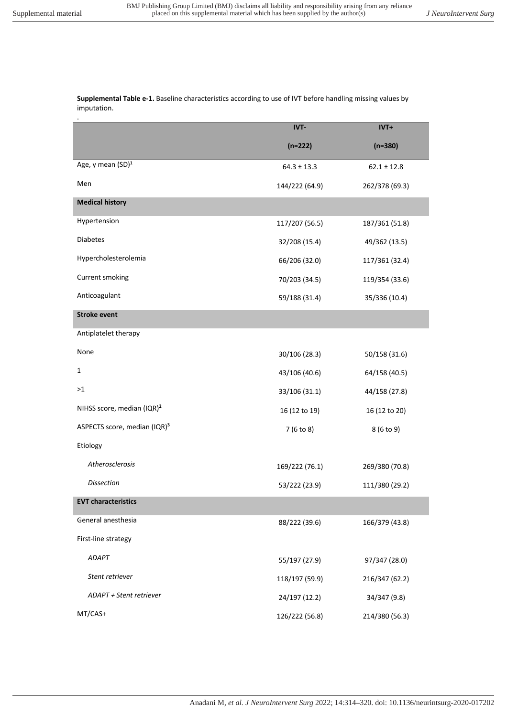**Supplemental Table e-1.** Baseline characteristics according to use of IVT before handling missing values by imputation.

|                                          | IVT-            | IVT+            |
|------------------------------------------|-----------------|-----------------|
|                                          | $(n=222)$       | $(n=380)$       |
| Age, y mean (SD) <sup>1</sup>            | $64.3 \pm 13.3$ | $62.1 \pm 12.8$ |
| Men                                      | 144/222 (64.9)  | 262/378 (69.3)  |
| <b>Medical history</b>                   |                 |                 |
| Hypertension                             | 117/207 (56.5)  | 187/361 (51.8)  |
| <b>Diabetes</b>                          | 32/208 (15.4)   | 49/362 (13.5)   |
| Hypercholesterolemia                     | 66/206 (32.0)   | 117/361 (32.4)  |
| Current smoking                          | 70/203 (34.5)   | 119/354 (33.6)  |
| Anticoagulant                            | 59/188 (31.4)   | 35/336 (10.4)   |
| <b>Stroke event</b>                      |                 |                 |
| Antiplatelet therapy                     |                 |                 |
| None                                     | 30/106 (28.3)   | 50/158 (31.6)   |
| 1                                        | 43/106 (40.6)   | 64/158 (40.5)   |
| >1                                       | 33/106 (31.1)   | 44/158 (27.8)   |
| NIHSS score, median (IQR) <sup>2</sup>   | 16 (12 to 19)   | 16 (12 to 20)   |
| ASPECTS score, median (IQR) <sup>3</sup> | 7 (6 to 8)      | 8 (6 to 9)      |
| Etiology                                 |                 |                 |
| Atherosclerosis                          | 169/222 (76.1)  | 269/380 (70.8)  |
| <b>Dissection</b>                        | 53/222 (23.9)   | 111/380 (29.2)  |
| <b>EVT characteristics</b>               |                 |                 |
| General anesthesia                       | 88/222 (39.6)   | 166/379 (43.8)  |
| First-line strategy                      |                 |                 |
| <b>ADAPT</b>                             | 55/197 (27.9)   | 97/347 (28.0)   |
| Stent retriever                          | 118/197 (59.9)  | 216/347 (62.2)  |
| ADAPT + Stent retriever                  | 24/197 (12.2)   | 34/347 (9.8)    |
| MT/CAS+                                  | 126/222 (56.8)  | 214/380 (56.3)  |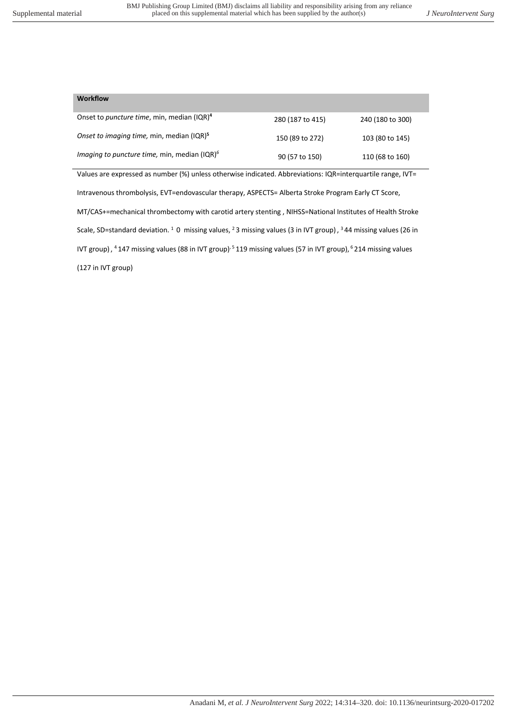## **Workflow**

| Onset to <i>puncture time</i> , min, median (IQR) <sup>4</sup>    | 280 (187 to 415) | 240 (180 to 300) |
|-------------------------------------------------------------------|------------------|------------------|
| Onset to imaging time, min, median (IQR) <sup>5</sup>             | 150 (89 to 272)  | 103 (80 to 145)  |
| <i>Imaging to puncture time, min, median <math>(IQR)^6</math></i> | 90 (57 to 150)   | 110 (68 to 160)  |

Values are expressed as number (%) unless otherwise indicated. Abbreviations: IQR=interquartile range, IVT= Intravenous thrombolysis, EVT=endovascular therapy, ASPECTS= Alberta Stroke Program Early CT Score, MT/CAS+=mechanical thrombectomy with carotid artery stenting , NIHSS=National Institutes of Health Stroke Scale, SD=standard deviation. <sup>1</sup> O missing values, <sup>2</sup> 3 missing values (3 in IVT group), <sup>3</sup> 44 missing values (26 in IVT group),  $4$ 147 missing values (88 in IVT group)<sup>, 5</sup> 119 missing values (57 in IVT group), <sup>6</sup> 214 missing values (127 in IVT group)